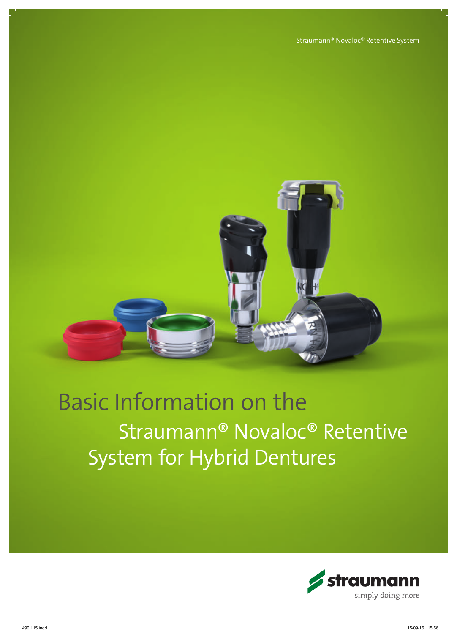

# Basic Information on the Straumann® Novaloc® Retentive System for Hybrid Dentures

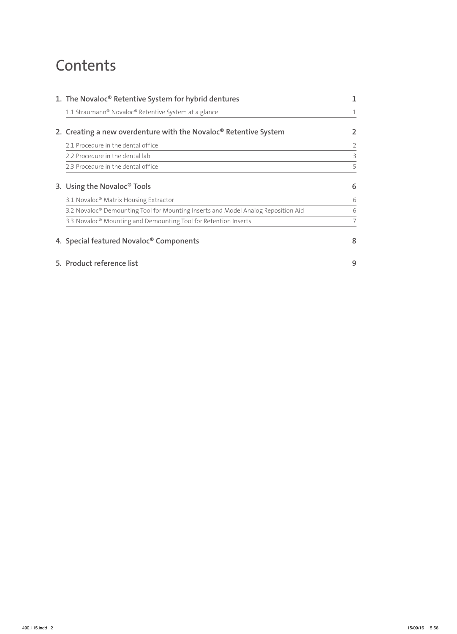### **Contents**

| 1. The Novaloc® Retentive System for hybrid dentures                              |   |
|-----------------------------------------------------------------------------------|---|
| 1.1 Straumann® Novaloc® Retentive System at a glance                              |   |
| 2. Creating a new overdenture with the Novaloc <sup>®</sup> Retentive System      |   |
| 2.1 Procedure in the dental office                                                |   |
| 2.2 Procedure in the dental lab                                                   | 3 |
| 2.3 Procedure in the dental office                                                | 5 |
| 3. Using the Novaloc <sup>®</sup> Tools                                           | 6 |
| 3.1 Novaloc <sup>®</sup> Matrix Housing Extractor                                 | 6 |
| 3.2 Novaloc® Demounting Tool for Mounting Inserts and Model Analog Reposition Aid | 6 |
| 3.3 Novaloc <sup>®</sup> Mounting and Demounting Tool for Retention Inserts       |   |
| 4. Special featured Novaloc <sup>®</sup> Components                               | 8 |
| 5. Product reference list                                                         | 9 |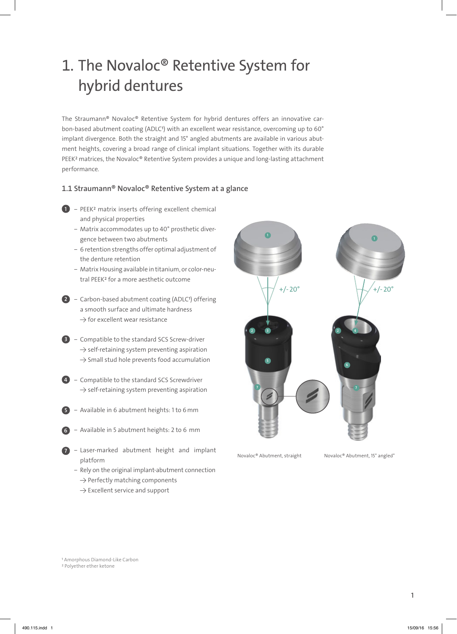### 1. The Novaloc® Retentive System for hybrid dentures

The Straumann® Novaloc® Retentive System for hybrid dentures offers an innovative carbon-based abutment coating (ADLC<sup>1</sup>) with an excellent wear resistance, overcoming up to 60° implant divergence. Both the straight and 15° angled abutments are available in various abutment heights, covering a broad range of clinical implant situations. Together with its durable PEEK<sup>2</sup> matrices, the Novaloc® Retentive System provides a unique and long-lasting attachment performance.

#### 1.1 Straumann® Novaloc® Retentive System at a glance

- $\mathbf{D}$  PEEK<sup>2</sup> matrix inserts offering excellent chemical and physical properties
	- ‒ Matrix accommodates up to 40° prosthetic divergence between two abutments
	- 6 retention strengths offer optimal adjustment of the denture retention
	- ‒ Matrix Housing available in titanium, or color-neutral PEEK2 for a more aesthetic outcome
- 2 Carbon-based abutment coating (ADLC<sup>1</sup>) offering a smooth surface and ultimate hardness  $\rightarrow$  for excellent wear resistance
- **3** Compatible to the standard SCS Screw-driver  $\rightarrow$  self-retaining system preventing aspiration  $\rightarrow$  Small stud hole prevents food accumulation
- 4 Compatible to the standard SCS Screwdriver  $\rightarrow$  self-retaining system preventing aspiration
- Available in 6 abutment heights: 1 to 6 mm 5
- Available in 5 abutment heights: 2 to 6 mm 6
- ‒ Laser-marked abutment height and implant platform 7
	- Rely on the original implant-abutment connection  $\rightarrow$  Perfectly matching components
		- $\rightarrow$  Excellent service and support



Novaloc® Abutment, straight Novaloc® Abutment, 15° angled°

1 Amorphous Diamond-Like Carbon

2 Polyether ether ketone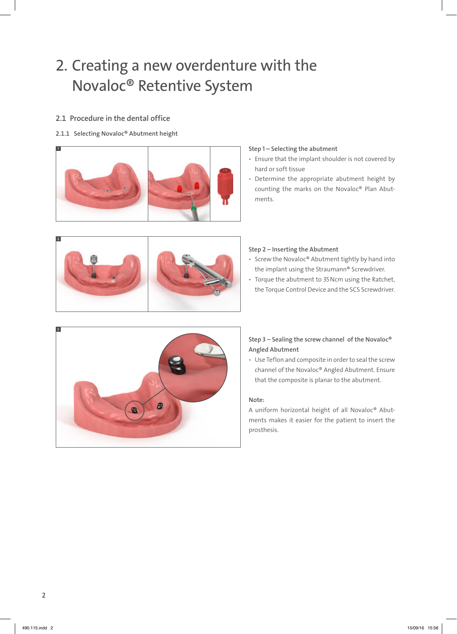### 2. Creating a new overdenture with the Novaloc® Retentive System

#### 2.1 Procedure in the dental office

#### 2.1.1 Selecting Novaloc® Abutment height



#### Step 1 – Selecting the abutment

- Ensure that the implant shoulder is not covered by hard or soft tissue
- Determine the appropriate abutment height by counting the marks on the Novaloc® Plan Abutments.



#### Step 2 – Inserting the Abutment

- Screw the Novaloc® Abutment tightly by hand into the implant using the Straumann® Screwdriver.
- ѹ Torque the abutment to 35Ncm using the Ratchet, the Torque Control Device and the SCS Screwdriver.



#### Step 3 – Sealing the screw channel of the Novaloc® Angled Abutment

ѹ Use Teflon and composite in order to seal the screw channel of the Novaloc® Angled Abutment. Ensure that the composite is planar to the abutment.

#### Note:

A uniform horizontal height of all Novaloc® Abutments makes it easier for the patient to insert the prosthesis.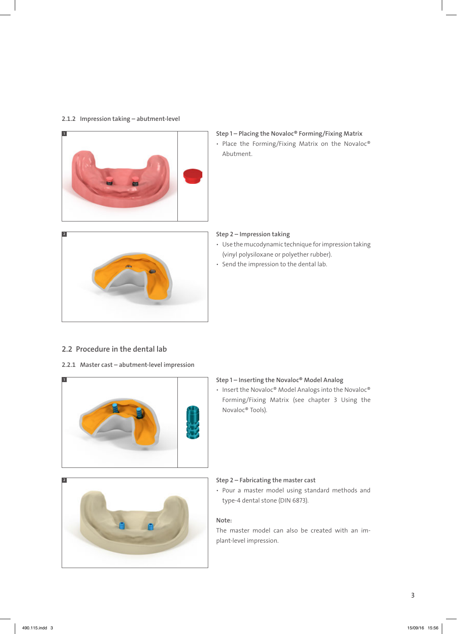#### 2.1.2 Impression taking – abutment-level



### Step 1 – Placing the Novaloc® Forming/Fixing Matrix

• Place the Forming/Fixing Matrix on the Novaloc® Abutment.



#### Step 2 – Impression taking

- ѹ Use the mucodynamic technique for impression taking (vinyl polysiloxane or polyether rubber).
- Send the impression to the dental lab.

#### 2.2 Procedure in the dental lab

#### 2.2.1 Master cast – abutment-level impression



#### Step 1 – Inserting the Novaloc® Model Analog

• Insert the Novaloc® Model Analogs into the Novaloc® Forming/Fixing Matrix (see chapter 3 Using the Novaloc® Tools).



#### Step 2 – Fabricating the master cast

• Pour a master model using standard methods and type-4 dental stone (DIN 6873).

#### Note:

The master model can also be created with an implant-level impression.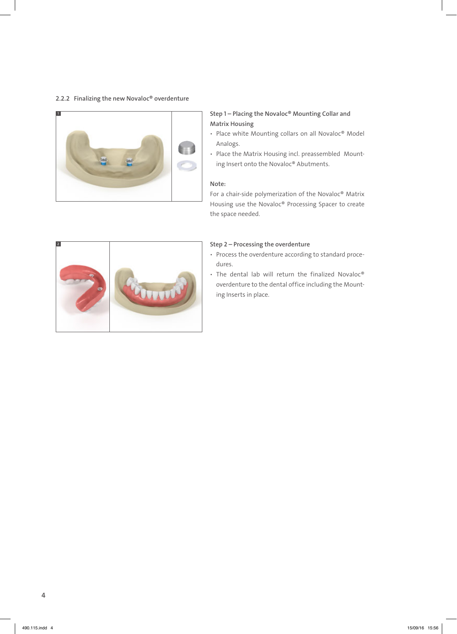#### 2.2.2 Finalizing the new Novaloc® overdenture



Step 1 – Placing the Novaloc® Mounting Collar and Matrix Housing

- Place white Mounting collars on all Novaloc® Model Analogs.
- Place the Matrix Housing incl. preassembled Mounting Insert onto the Novaloc® Abutments.

#### Note:

For a chair-side polymerization of the Novaloc® Matrix Housing use the Novaloc® Processing Spacer to create the space needed.



#### Step 2 – Processing the overdenture

- ѹ Process the overdenture according to standard procedures.
- The dental lab will return the finalized Novaloc® overdenture to the dental office including the Mounting Inserts in place.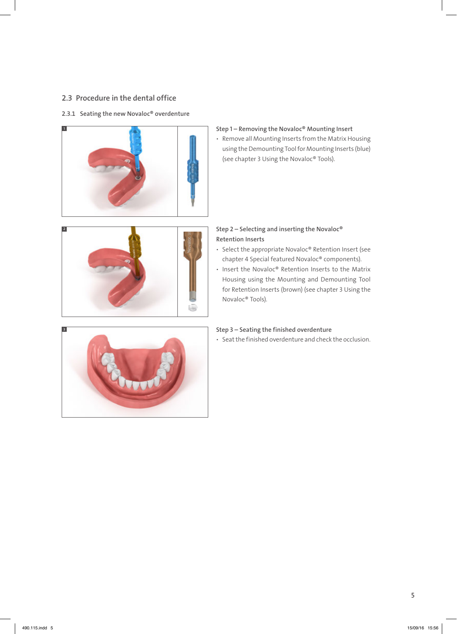#### 2.3 Procedure in the dental office

#### 2.3.1 Seating the new Novaloc<sup>®</sup> overdenture



- Step 1 Removing the Novaloc® Mounting Insert
- Remove all Mounting Inserts from the Matrix Housing using the Demounting Tool for Mounting Inserts (blue) (see chapter 3 Using the Novaloc® Tools).



#### Step 2 – Selecting and inserting the Novaloc® Retention Inserts

- Select the appropriate Novaloc® Retention Insert (see chapter 4 Special featured Novaloc® components).
- Insert the Novaloc® Retention Inserts to the Matrix Housing using the Mounting and Demounting Tool for Retention Inserts (brown) (see chapter 3 Using the Novaloc® Tools).



#### Step 3 – Seating the finished overdenture

ѹ Seat the finished overdenture and check the occlusion.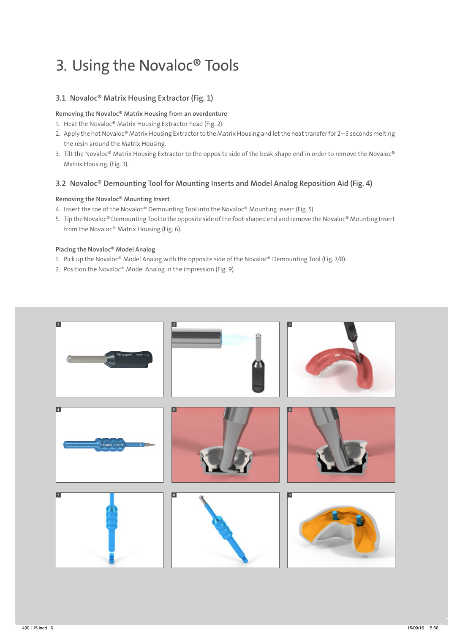### 3. Using the Novaloc® Tools

#### 3.1 Novaloc® Matrix Housing Extractor (Fig. 1)

Removing the Novaloc® Matrix Housing from an overdenture

- 1. Heat the Novaloc® Matrix Housing Extractor head (Fig. 2).
- 2. Apply the hot Novaloc® Matrix Housing Extractor to the Matrix Housing and let the heat transfer for 2–3 seconds melting the resin around the Matrix Housing.
- 3. Tilt the Novaloc® Matrix Housing Extractor to the opposite side of the beak-shape end in order to remove the Novaloc® Matrix Housing. (Fig. 3).

#### 3.2 Novaloc® Demounting Tool for Mounting Inserts and Model Analog Reposition Aid (Fig. 4)

#### Removing the Novaloc® Mounting Insert

- 4. Insert the toe of the Novaloc® Demounting Tool into the Novaloc® Mounting Insert (Fig. 5).
- 5. Tip the Novaloc® Demounting Tool to the opposite side of the foot-shaped end and remove the Novaloc® Mounting Insert from the Novaloc® Matrix Housing (Fig. 6).

#### Placing the Novaloc® Model Analog

- 1. Pick up the Novaloc® Model Analog with the opposite side of the Novaloc® Demounting Tool (Fig. 7/8).
- 2. Position the Novaloc® Model Analog in the impression (Fig. 9).

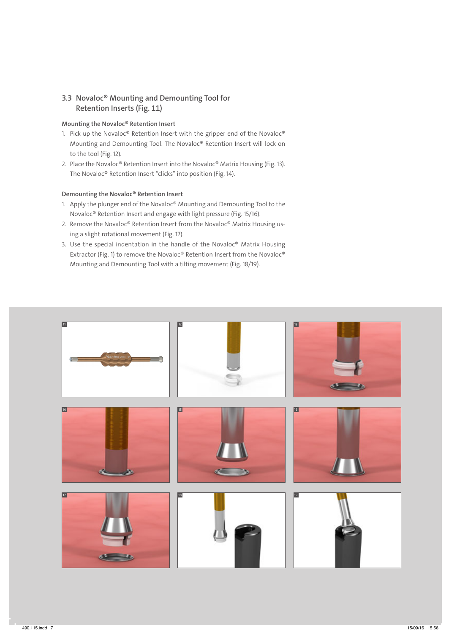#### 3.3 Novaloc® Mounting and Demounting Tool for Retention Inserts (Fig. 11)

#### Mounting the Novaloc® Retention Insert

- 1. Pick up the Novaloc® Retention Insert with the gripper end of the Novaloc® Mounting and Demounting Tool. The Novaloc® Retention Insert will lock on to the tool (Fig. 12).
- 2. Place the Novaloc® Retention Insert into the Novaloc® Matrix Housing (Fig. 13). The Novaloc® Retention Insert "clicks" into position (Fig. 14).

#### Demounting the Novaloc® Retention Insert

- 1. Apply the plunger end of the Novaloc® Mounting and Demounting Tool to the Novaloc® Retention Insert and engage with light pressure (Fig. 15/16).
- 2. Remove the Novaloc® Retention Insert from the Novaloc® Matrix Housing using a slight rotational movement (Fig. 17).
- 3. Use the special indentation in the handle of the Novaloc® Matrix Housing Extractor (Fig. 1) to remove the Novaloc® Retention Insert from the Novaloc® Mounting and Demounting Tool with a tilting movement (Fig. 18/19).

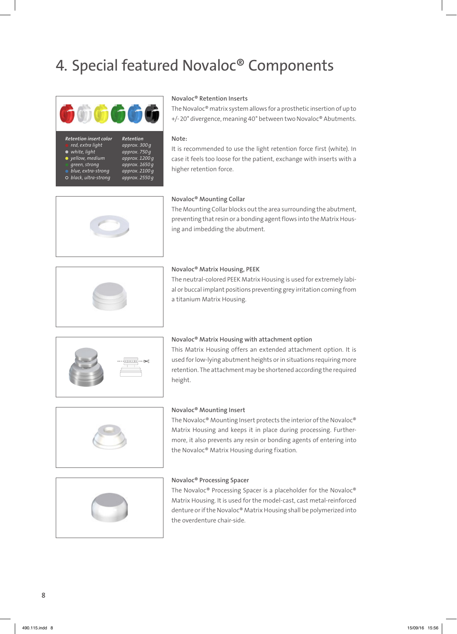## 4. Special featured Novaloc® Components



*white, light approx. 750g*

#### *Retention insert color Retention red, extra light approx. 300g*

- *green, strong approx. 1650g*
- *yellow, medium approx. 1200g blue, extra-strong approx. 2100g*
- *black, ultra-strong approx. 2550g*

#### Novaloc® Retention Inserts

The Novaloc® matrix system allows for a prosthetic insertion of up to +/-20° divergence, meaning 40° between two Novaloc® Abutments.

#### Note:

It is recommended to use the light retention force first (white). In case it feels too loose for the patient, exchange with inserts with a higher retention force.





#### Novaloc® Mounting Collar

The Mounting Collar blocks out the area surrounding the abutment, preventing that resin or a bonding agent flows into the Matrix Housing and imbedding the abutment.

#### Novaloc® Matrix Housing, PEEK

The neutral-colored PEEK Matrix Housing is used for extremely labial or buccal implant positions preventing grey irritation coming from a titanium Matrix Housing.



#### Novaloc® Matrix Housing with attachment option

This Matrix Housing offers an extended attachment option. It is used for low-lying abutment heights or in situations requiring more retention. The attachment may be shortened according the required height.



#### Novaloc® Mounting Insert

The Novaloc® Mounting Insert protects the interior of the Novaloc® Matrix Housing and keeps it in place during processing. Furthermore, it also prevents any resin or bonding agents of entering into the Novaloc® Matrix Housing during fixation.



#### Novaloc® Processing Spacer

The Novaloc® Processing Spacer is a placeholder for the Novaloc® Matrix Housing. It is used for the model-cast, cast metal-reinforced denture or if the Novaloc® Matrix Housing shall be polymerized into the overdenture chair-side.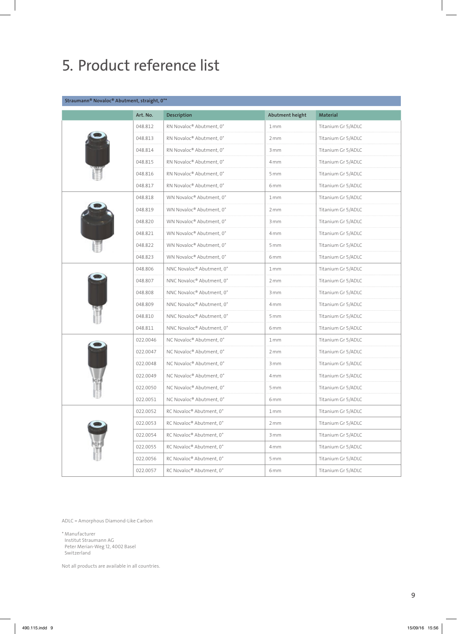## 5. Product reference list

#### Straumann® Novaloc® Abutment, straight, 0°\*

| Art. No. | Description               | Abutment height | <b>Material</b>    |
|----------|---------------------------|-----------------|--------------------|
| 048.812  | RN Novaloc® Abutment, 0°  | 1mm             | Titanium Gr 5/ADLC |
| 048.813  | RN Novaloc® Abutment, 0°  | 2mm             | Titanium Gr 5/ADLC |
| 048.814  | RN Novaloc® Abutment, 0°  | 3 mm            | Titanium Gr 5/ADLC |
| 048.815  | RN Novaloc® Abutment, 0°  | 4mm             | Titanium Gr 5/ADLC |
| 048.816  | RN Novaloc® Abutment, 0°  | 5 mm            | Titanium Gr 5/ADLC |
| 048.817  | RN Novaloc® Abutment, 0°  | 6 <sub>mm</sub> | Titanium Gr 5/ADLC |
| 048.818  | WN Novaloc® Abutment, 0°  | 1mm             | Titanium Gr 5/ADLC |
| 048.819  | WN Novaloc® Abutment, 0°  | 2mm             | Titanium Gr 5/ADLC |
| 048.820  | WN Novaloc® Abutment, 0°  | 3 mm            | Titanium Gr 5/ADLC |
| 048.821  | WN Novaloc® Abutment, 0°  | 4 mm            | Titanium Gr 5/ADLC |
| 048.822  | WN Novaloc® Abutment, 0°  | 5 mm            | Titanium Gr 5/ADLC |
| 048.823  | WN Novaloc® Abutment, 0°  | 6 <sub>mm</sub> | Titanium Gr 5/ADLC |
| 048.806  | NNC Novaloc® Abutment, 0° | 1mm             | Titanium Gr 5/ADLC |
| 048.807  | NNC Novaloc® Abutment, 0° | 2mm             | Titanium Gr 5/ADLC |
| 048.808  | NNC Novaloc® Abutment, 0° | 3 mm            | Titanium Gr 5/ADLC |
| 048.809  | NNC Novaloc® Abutment, 0° | 4 mm            | Titanium Gr 5/ADLC |
| 048.810  | NNC Novaloc® Abutment, 0° | 5 mm            | Titanium Gr 5/ADLC |
| 048.811  | NNC Novaloc® Abutment, 0° | 6 <sub>mm</sub> | Titanium Gr 5/ADLC |
| 022.0046 | NC Novaloc® Abutment, 0°  | 1mm             | Titanium Gr 5/ADLC |
| 022.0047 | NC Novaloc® Abutment, 0°  | 2mm             | Titanium Gr 5/ADLC |
| 022.0048 | NC Novaloc® Abutment, 0°  | 3 mm            | Titanium Gr 5/ADLC |
| 022.0049 | NC Novaloc® Abutment, 0°  | 4 mm            | Titanium Gr 5/ADLC |
| 022.0050 | NC Novaloc® Abutment, 0°  | 5 mm            | Titanium Gr 5/ADLC |
| 022.0051 | NC Novaloc® Abutment, 0°  | 6 <sub>mm</sub> | Titanium Gr 5/ADLC |
| 022.0052 | RC Novaloc® Abutment, 0°  | 1mm             | Titanium Gr 5/ADLC |
| 022.0053 | RC Novaloc® Abutment, 0°  | 2mm             | Titanium Gr 5/ADLC |
| 022.0054 | RC Novaloc® Abutment, 0°  | 3 mm            | Titanium Gr 5/ADLC |
| 022.0055 | RC Novaloc® Abutment, 0°  | 4mm             | Titanium Gr 5/ADLC |
| 022.0056 | RC Novaloc® Abutment, 0°  | 5 mm            | Titanium Gr 5/ADLC |
| 022.0057 | RC Novaloc® Abutment, 0°  | 6 mm            | Titanium Gr 5/ADLC |

ADLC = Amorphous Diamond-Like Carbon

\* Manufacturer Institut Straumann AG Peter Merian-Weg 12, 4002 Basel Switzerland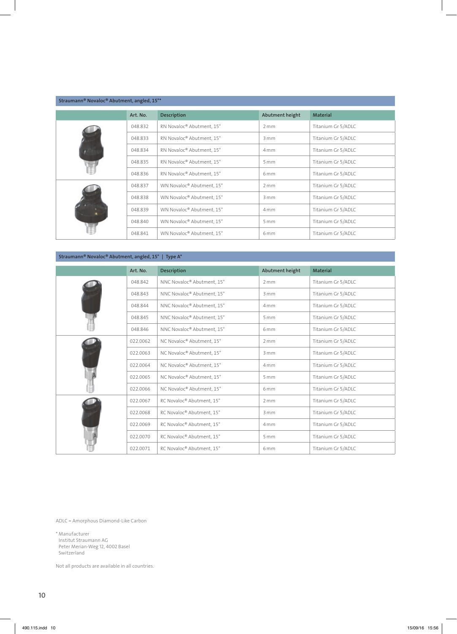| Straumann® Novaloc® Abutment, angled, 15°* |          |                           |                 |                    |  |
|--------------------------------------------|----------|---------------------------|-----------------|--------------------|--|
|                                            | Art. No. | <b>Description</b>        | Abutment height | <b>Material</b>    |  |
|                                            | 048.832  | RN Novaloc® Abutment, 15° | 2mm             | Titanium Gr 5/ADLC |  |
|                                            | 048.833  | RN Novaloc® Abutment, 15° | 3mm             | Titanium Gr 5/ADLC |  |
|                                            | 048.834  | RN Novaloc® Abutment, 15° | 4 <sub>mm</sub> | Titanium Gr 5/ADLC |  |
|                                            | 048.835  | RN Novaloc® Abutment, 15° | 5mm             | Titanium Gr 5/ADLC |  |
|                                            | 048.836  | RN Novaloc® Abutment, 15° | 6 <sub>mm</sub> | Titanium Gr 5/ADLC |  |
|                                            | 048.837  | WN Novaloc® Abutment, 15° | 2mm             | Titanium Gr 5/ADLC |  |
|                                            | 048.838  | WN Novaloc® Abutment, 15° | 3mm             | Titanium Gr 5/ADLC |  |
|                                            | 048.839  | WN Novaloc® Abutment, 15° | 4 <sub>mm</sub> | Titanium Gr 5/ADLC |  |
|                                            | 048.840  | WN Novaloc® Abutment, 15° | 5mm             | Titanium Gr 5/ADLC |  |
|                                            | 048.841  | WN Novaloc® Abutment, 15° | 6 <sub>mm</sub> | Titanium Gr 5/ADLC |  |

#### Straumann® Novaloc® Abutment, angled, 15° | Type A\*

| Art. No. | <b>Description</b>         | Abutment height | Material           |
|----------|----------------------------|-----------------|--------------------|
| 048.842  | NNC Novaloc® Abutment, 15° | 2mm             | Titanium Gr 5/ADLC |
| 048.843  | NNC Novaloc® Abutment, 15° | 3mm             | Titanium Gr 5/ADLC |
| 048.844  | NNC Novaloc® Abutment, 15° | 4 <sub>mm</sub> | Titanium Gr 5/ADLC |
| 048.845  | NNC Novaloc® Abutment, 15° | 5mm             | Titanium Gr 5/ADLC |
| 048.846  | NNC Novaloc® Abutment, 15° | 6 <sub>mm</sub> | Titanium Gr 5/ADLC |
| 022.0062 | NC Novaloc® Abutment, 15°  | 2mm             | Titanium Gr 5/ADLC |
| 022.0063 | NC Novaloc® Abutment, 15°  | 3mm             | Titanium Gr 5/ADLC |
| 022.0064 | NC Novaloc® Abutment, 15°  | 4 <sub>mm</sub> | Titanium Gr 5/ADLC |
| 022.0065 | NC Novaloc® Abutment, 15°  | 5mm             | Titanium Gr 5/ADLC |
| 022.0066 | NC Novaloc® Abutment, 15°  | 6 <sub>mm</sub> | Titanium Gr 5/ADLC |
| 022.0067 | RC Novaloc® Abutment, 15°  | 2mm             | Titanium Gr 5/ADLC |
| 022.0068 | RC Novaloc® Abutment, 15°  | 3mm             | Titanium Gr 5/ADLC |
| 022.0069 | RC Novaloc® Abutment, 15°  | 4 <sub>mm</sub> | Titanium Gr 5/ADLC |
| 022.0070 | RC Novaloc® Abutment, 15°  | 5mm             | Titanium Gr 5/ADLC |
| 022.0071 | RC Novaloc® Abutment, 15°  | 6 <sub>mm</sub> | Titanium Gr 5/ADLC |

ADLC = Amorphous Diamond-Like Carbon

\* Manufacturer Institut Straumann AG Peter Merian-Weg 12, 4002 Basel Switzerland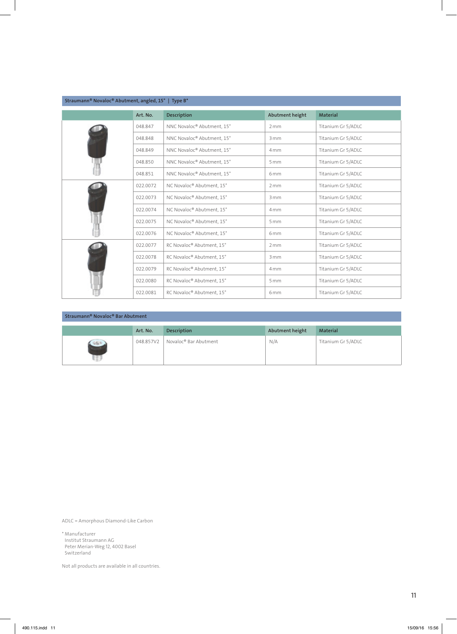| Straumann® Novaloc® Abutment, angled, 15°   Type B <sup>*</sup> |          |                            |                 |                    |  |
|-----------------------------------------------------------------|----------|----------------------------|-----------------|--------------------|--|
|                                                                 | Art. No. | <b>Description</b>         | Abutment height | <b>Material</b>    |  |
|                                                                 | 048.847  | NNC Novaloc® Abutment, 15° | 2mm             | Titanium Gr 5/ADLC |  |
|                                                                 | 048.848  | NNC Novaloc® Abutment, 15° | 3mm             | Titanium Gr 5/ADLC |  |
|                                                                 | 048.849  | NNC Novaloc® Abutment, 15° | 4 <sub>mm</sub> | Titanium Gr 5/ADLC |  |
|                                                                 | 048.850  | NNC Novaloc® Abutment, 15° | 5mm             | Titanium Gr 5/ADLC |  |
|                                                                 | 048.851  | NNC Novaloc® Abutment, 15° | 6 <sub>mm</sub> | Titanium Gr 5/ADLC |  |
|                                                                 | 022.0072 | NC Novaloc® Abutment, 15°  | 2mm             | Titanium Gr 5/ADLC |  |
|                                                                 | 022.0073 | NC Novaloc® Abutment, 15°  | 3mm             | Titanium Gr 5/ADLC |  |
|                                                                 | 022.0074 | NC Novaloc® Abutment, 15°  | 4 <sub>mm</sub> | Titanium Gr 5/ADLC |  |
|                                                                 | 022.0075 | NC Novaloc® Abutment, 15°  | 5mm             | Titanium Gr 5/ADLC |  |
|                                                                 | 022.0076 | NC Novaloc® Abutment, 15°  | 6 <sub>mm</sub> | Titanium Gr 5/ADLC |  |
|                                                                 | 022.0077 | RC Novaloc® Abutment, 15°  | 2mm             | Titanium Gr 5/ADLC |  |
|                                                                 | 022.0078 | RC Novaloc® Abutment, 15°  | 3mm             | Titanium Gr 5/ADLC |  |
|                                                                 | 022.0079 | RC Novaloc® Abutment, 15°  | 4 <sub>mm</sub> | Titanium Gr 5/ADLC |  |
|                                                                 | 022.0080 | RC Novaloc® Abutment, 15°  | 5mm             | Titanium Gr 5/ADLC |  |
|                                                                 | 022.0081 | RC Novaloc® Abutment, 15°  | 6 <sub>mm</sub> | Titanium Gr 5/ADLC |  |

| Straumann® Novaloc® Bar Abutment |           |                                   |                 |                    |  |  |
|----------------------------------|-----------|-----------------------------------|-----------------|--------------------|--|--|
|                                  | Art. No.  | Description                       | Abutment height | <b>Material</b>    |  |  |
| <b>GSP</b>                       | 048.857V2 | Novaloc <sup>®</sup> Bar Abutment | N/A             | Titanium Gr 5/ADLC |  |  |

ADLC = Amorphous Diamond-Like Carbon

\* Manufacturer Institut Straumann AG Peter Merian-Weg 12, 4002 Basel Switzerland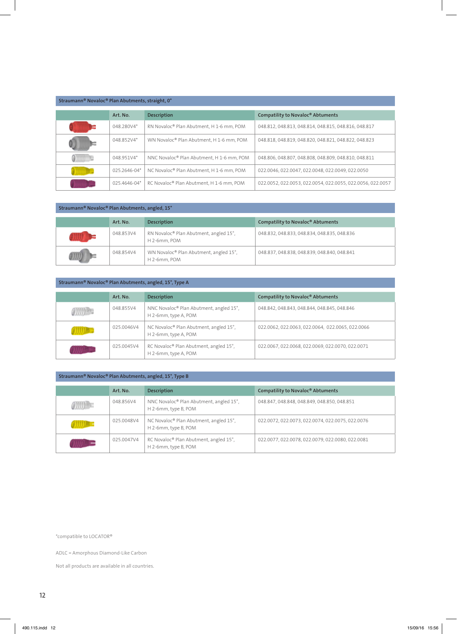| Straumann® Novaloc® Plan Abutments, straight, 0° |              |                                           |                                                            |  |  |  |
|--------------------------------------------------|--------------|-------------------------------------------|------------------------------------------------------------|--|--|--|
|                                                  | Art. No.     | <b>Description</b>                        | Compatility to Novaloc® Abtuments                          |  |  |  |
|                                                  | 048.280V4*   | RN Novaloc® Plan Abutment, H 1-6 mm, POM  | 048.812, 048.813, 048.814, 048.815, 048.816, 048.817       |  |  |  |
|                                                  | 048.852V4*   | WN Novaloc® Plan Abutment, H 1-6 mm, POM  | 048.818, 048.819, 048.820, 048.821, 048.822, 048.823       |  |  |  |
|                                                  | 048.951V4*   | NNC Novaloc® Plan Abutment, H 1-6 mm, POM | 048.806.048.807.048.808.048.809.048.810.048.811            |  |  |  |
|                                                  | 025.2646-04* | NC Novaloc® Plan Abutment, H 1-6 mm, POM  | 022.0046, 022.0047, 022.0048, 022.0049, 022.0050           |  |  |  |
|                                                  | 025.4646-04* | RC Novaloc® Plan Abutment, H 1-6 mm, POM  | 022.0052, 022.0053, 022.0054, 022.0055, 022.0056, 022.0057 |  |  |  |

#### Straumann® Novaloc® Plan Abutments, angled, 15°

| Art. No.  | <b>Description</b>                                                 | Compatility to Novaloc <sup>®</sup> Abtuments |
|-----------|--------------------------------------------------------------------|-----------------------------------------------|
| 048.853V4 | RN Novaloc <sup>®</sup> Plan Abutment, angled 15°,<br>H 2-6mm, POM | 048.832, 048.833, 048.834, 048.835, 048.836   |
| 048.854V4 | WN Novaloc® Plan Abutment, angled 15°,<br>H <sub>2</sub> -6mm, POM | 048.837, 048.838, 048.839, 048.840, 048.841   |

#### Straumann® Novaloc® Plan Abutments, angled, 15°, Type A

| Art. No.   | <b>Description</b>                                                          | Compatility to Novaloc <sup>®</sup> Abtuments    |
|------------|-----------------------------------------------------------------------------|--------------------------------------------------|
| 048.855V4  | NNC Novaloc <sup>®</sup> Plan Abutment, angled 15°,<br>H 2-6mm, type A, POM | 048.842, 048.843, 048.844, 048.845, 048.846      |
| 025.0046V4 | NC Novaloc® Plan Abutment, angled 15°,<br>H 2-6mm, type A, POM              | 022.0062, 022.0063, 022.0064, 022.0065, 022.0066 |
| 025.0045V4 | RC Novaloc® Plan Abutment, angled 15°,<br>H 2-6mm, type A, POM              | 022.0067, 022.0068, 022.0069, 022.0070, 022.0071 |

#### Straumann® Novaloc® Plan Abutments, angled, 15°, Type B

| Art. No.   | <b>Description</b>                                              | Compatility to Novaloc <sup>®</sup> Abtuments    |
|------------|-----------------------------------------------------------------|--------------------------------------------------|
| 048.856V4  | NNC Novaloc® Plan Abutment, angled 15°,<br>H 2-6mm, type B, POM | 048.847, 048.848, 048.849, 048.850, 048.851      |
| 025.0048V4 | NC Novaloc® Plan Abutment, angled 15°,<br>H 2-6mm, type B, POM  | 022.0072, 022.0073, 022.0074, 022.0075, 022.0076 |
| 025.0047V4 | RC Novaloc® Plan Abutment, angled 15°,<br>H 2-6mm, type B, POM  | 022.0077, 022.0078, 022.0079, 022.0080, 022.0081 |

\*compatible to LOCATOR®

ADLC = Amorphous Diamond-Like Carbon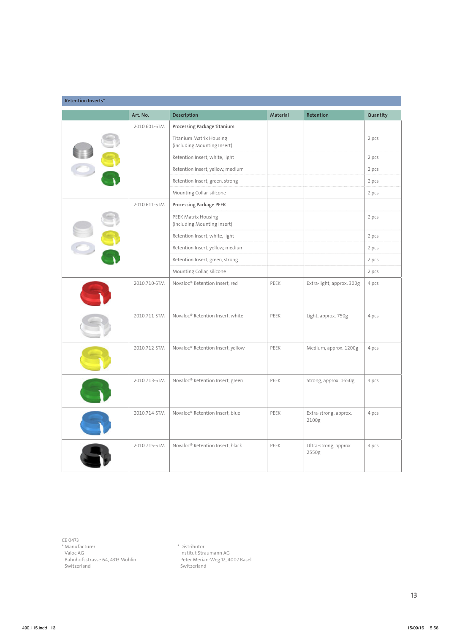| <b>Retention Inserts*</b> |              |                                                               |          |                                |          |
|---------------------------|--------------|---------------------------------------------------------------|----------|--------------------------------|----------|
|                           | Art. No.     | Description                                                   | Material | Retention                      | Quantity |
|                           | 2010.601-STM | Processing Package titanium                                   |          |                                |          |
|                           |              | <b>Titanium Matrix Housing</b><br>(including Mounting Insert) |          |                                | 2 pcs    |
|                           |              | Retention Insert, white, light                                |          |                                | 2 pcs    |
|                           |              | Retention Insert, yellow, medium                              |          |                                | 2 pcs    |
|                           |              | Retention Insert, green, strong                               |          |                                | 2 pcs    |
|                           |              | Mounting Collar, silicone                                     |          |                                | 2 pcs    |
|                           | 2010.611-STM | Processing Package PEEK                                       |          |                                |          |
|                           |              | PEEK Matrix Housing<br>(including Mounting Insert)            |          |                                | 2 pcs    |
|                           |              | Retention Insert, white, light                                |          |                                | 2 pcs    |
|                           |              | Retention Insert, yellow, medium                              |          |                                | 2 pcs    |
|                           |              | Retention Insert, green, strong                               |          |                                | 2 pcs    |
|                           |              | Mounting Collar, silicone                                     |          |                                | 2 pcs    |
|                           | 2010.710-STM | Novaloc® Retention Insert, red                                | PEEK     | Extra-light, approx. 300g      | 4 pcs    |
|                           | 2010.711-STM | Novaloc® Retention Insert, white                              | PEEK     | Light, approx. 750g            | 4 pcs    |
|                           | 2010.712-STM | Novaloc® Retention Insert, yellow                             | PEEK     | Medium, approx. 1200g          | 4 pcs    |
|                           | 2010.713-STM | Novaloc® Retention Insert, green                              | PEEK     | Strong, approx. 1650g          | 4 pcs    |
|                           | 2010.714-STM | Novaloc® Retention Insert, blue                               | PEEK     | Extra-strong, approx.<br>2100g | 4 pcs    |
|                           | 2010.715-STM | Novaloc® Retention Insert, black                              | PEEK     | Ultra-strong, approx.<br>2550g | 4 pcs    |

CE 0473

\* Manufacturer

Valoc AG Bahnhofsstrasse 64, 4313 Möhlin Switzerland

\* Distributor Institut Straumann AG Peter Merian-Weg 12, 4002 Basel Switzerland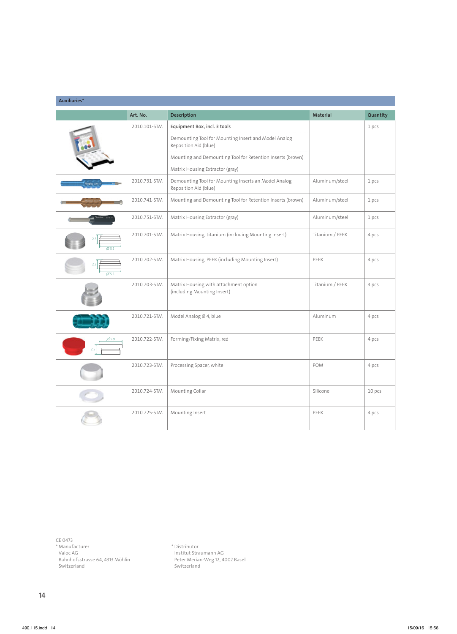| Auxiliaries*    |              |                                                                               |                 |          |  |
|-----------------|--------------|-------------------------------------------------------------------------------|-----------------|----------|--|
|                 | Art. No.     | Description                                                                   | Material        | Quantity |  |
|                 | 2010.101-STM | Equipment Box, incl. 3 tools                                                  |                 | 1 pcs    |  |
|                 |              | Demounting Tool for Mounting Insert and Model Analog<br>Reposition Aid (blue) |                 |          |  |
|                 |              | Mounting and Demounting Tool for Retention Inserts (brown)                    |                 |          |  |
|                 |              | Matrix Housing Extractor (gray)                                               |                 |          |  |
|                 | 2010.731-STM | Demounting Tool for Mounting Inserts an Model Analog<br>Reposition Aid (blue) | Aluminum/steel  | 1 pcs    |  |
|                 | 2010.741-STM | Mounting and Demounting Tool for Retention Inserts (brown)                    | Aluminum/steel  | 1 pcs    |  |
|                 | 2010.751-STM | Matrix Housing Extractor (gray)                                               | Aluminum/steel  | 1 pcs    |  |
| Ø5.5            | 2010.701-STM | Matrix Housing, titanium (including Mounting Insert)                          | Titanium / PEEK | 4 pcs    |  |
| $\emptyset$ 5.5 | 2010.702-STM | Matrix Housing, PEEK (including Mounting Insert)                              | PEEK            | 4 pcs    |  |
|                 | 2010.703-STM | Matrix Housing with attachment option<br>(including Mounting Insert)          | Titanium / PEEK | 4 pcs    |  |
|                 | 2010.721-STM | Model Analog Ø 4, blue                                                        | Aluminum        | 4 pcs    |  |
| Ø 5.9           | 2010.722-STM | Forming/Fixing Matrix, red                                                    | PEEK            | 4 pcs    |  |
|                 | 2010.723-STM | Processing Spacer, white                                                      | POM             | 4 pcs    |  |
|                 | 2010.724-STM | Mounting Collar                                                               | Silicone        | 10 pcs   |  |
|                 | 2010.725-STM | Mounting Insert                                                               | PEEK            | 4 pcs    |  |

CE 0473

\* Manufacturer

Valoc AG Bahnhofsstrasse 64, 4313 Möhlin Switzerland

\* Distributor Institut Straumann AG Peter Merian-Weg 12, 4002 Basel Switzerland